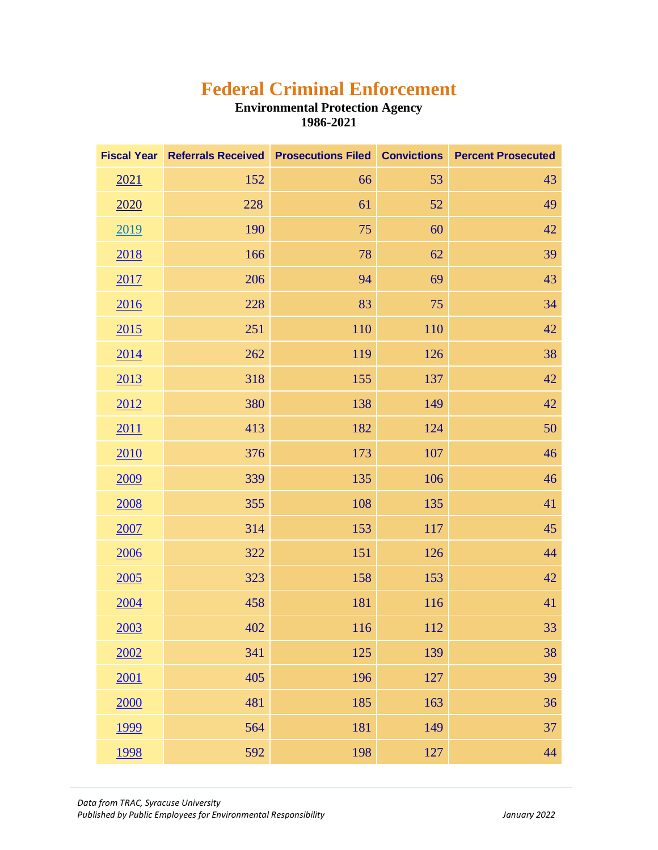## **Federal Criminal Enforcement**

## **Environmental Protection Agency 1986-2021**

| <b>Fiscal Year</b> |     | Referrals Received Prosecutions Filed Convictions |     | <b>Percent Prosecuted</b> |
|--------------------|-----|---------------------------------------------------|-----|---------------------------|
| 2021               | 152 | 66                                                | 53  | 43                        |
| <u>2020</u>        | 228 | 61                                                | 52  | 49                        |
| 2019               | 190 | 75                                                | 60  | 42                        |
| 2018               | 166 | 78                                                | 62  | 39                        |
| <u>2017</u>        | 206 | 94                                                | 69  | 43                        |
| 2016               | 228 | 83                                                | 75  | 34                        |
| 2015               | 251 | 110                                               | 110 | 42                        |
| <u>2014</u>        | 262 | 119                                               | 126 | 38                        |
| 2013               | 318 | 155                                               | 137 | 42                        |
| 2012               | 380 | 138                                               | 149 | 42                        |
| 2011               | 413 | 182                                               | 124 | 50                        |
| 2010               | 376 | 173                                               | 107 | 46                        |
| 2009               | 339 | 135                                               | 106 | 46                        |
| <u>2008</u>        | 355 | 108                                               | 135 | 41                        |
| 2007               | 314 | 153                                               | 117 | 45                        |
| <u>2006</u>        | 322 | 151                                               | 126 | 44                        |
| 2005               | 323 | 158                                               | 153 | 42                        |
| 2004               | 458 | 181                                               | 116 | 41                        |
| 2003               | 402 | 116                                               | 112 | 33                        |
| 2002               | 341 | 125                                               | 139 | 38                        |
| 2001               | 405 | 196                                               | 127 | 39                        |
| 2000               | 481 | 185                                               | 163 | 36                        |
| <u>1999</u>        | 564 | 181                                               | 149 | 37                        |
| <u>1998</u>        | 592 | 198                                               | 127 | 44                        |